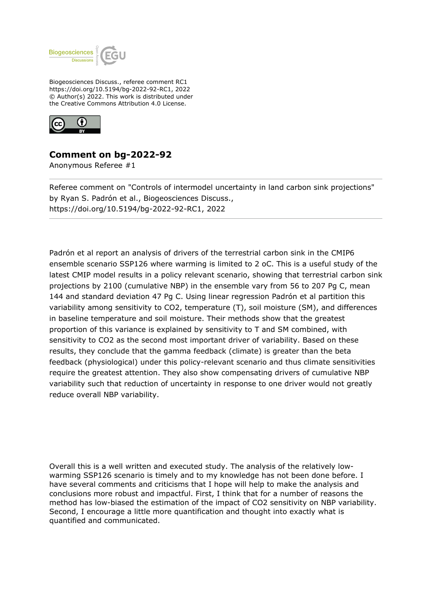

Biogeosciences Discuss., referee comment RC1 https://doi.org/10.5194/bg-2022-92-RC1, 2022 © Author(s) 2022. This work is distributed under the Creative Commons Attribution 4.0 License.



## **Comment on bg-2022-92**

Anonymous Referee #1

Referee comment on "Controls of intermodel uncertainty in land carbon sink projections" by Ryan S. Padrón et al., Biogeosciences Discuss., https://doi.org/10.5194/bg-2022-92-RC1, 2022

Padrón et al report an analysis of drivers of the terrestrial carbon sink in the CMIP6 ensemble scenario SSP126 where warming is limited to 2 oC. This is a useful study of the latest CMIP model results in a policy relevant scenario, showing that terrestrial carbon sink projections by 2100 (cumulative NBP) in the ensemble vary from 56 to 207 Pg C, mean 144 and standard deviation 47 Pg C. Using linear regression Padrón et al partition this variability among sensitivity to CO2, temperature (T), soil moisture (SM), and differences in baseline temperature and soil moisture. Their methods show that the greatest proportion of this variance is explained by sensitivity to T and SM combined, with sensitivity to CO2 as the second most important driver of variability. Based on these results, they conclude that the gamma feedback (climate) is greater than the beta feedback (physiological) under this policy-relevant scenario and thus climate sensitivities require the greatest attention. They also show compensating drivers of cumulative NBP variability such that reduction of uncertainty in response to one driver would not greatly reduce overall NBP variability.

Overall this is a well written and executed study. The analysis of the relatively lowwarming SSP126 scenario is timely and to my knowledge has not been done before. I have several comments and criticisms that I hope will help to make the analysis and conclusions more robust and impactful. First, I think that for a number of reasons the method has low-biased the estimation of the impact of CO2 sensitivity on NBP variability. Second, I encourage a little more quantification and thought into exactly what is quantified and communicated.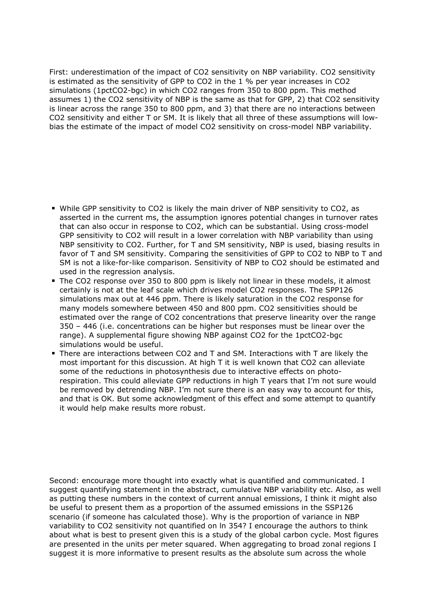First: underestimation of the impact of CO2 sensitivity on NBP variability. CO2 sensitivity is estimated as the sensitivity of GPP to CO2 in the 1 % per year increases in CO2 simulations (1pctCO2-bgc) in which CO2 ranges from 350 to 800 ppm. This method assumes 1) the CO2 sensitivity of NBP is the same as that for GPP, 2) that CO2 sensitivity is linear across the range 350 to 800 ppm, and 3) that there are no interactions between CO2 sensitivity and either T or SM. It is likely that all three of these assumptions will lowbias the estimate of the impact of model CO2 sensitivity on cross-model NBP variability.

- While GPP sensitivity to CO2 is likely the main driver of NBP sensitivity to CO2, as asserted in the current ms, the assumption ignores potential changes in turnover rates that can also occur in response to CO2, which can be substantial. Using cross-model GPP sensitivity to CO2 will result in a lower correlation with NBP variability than using NBP sensitivity to CO2. Further, for T and SM sensitivity, NBP is used, biasing results in favor of T and SM sensitivity. Comparing the sensitivities of GPP to CO2 to NBP to T and SM is not a like-for-like comparison. Sensitivity of NBP to CO2 should be estimated and used in the regression analysis.
- The CO2 response over 350 to 800 ppm is likely not linear in these models, it almost certainly is not at the leaf scale which drives model CO2 responses. The SPP126 simulations max out at 446 ppm. There is likely saturation in the CO2 response for many models somewhere between 450 and 800 ppm. CO2 sensitivities should be estimated over the range of CO2 concentrations that preserve linearity over the range 350 – 446 (i.e. concentrations can be higher but responses must be linear over the range). A supplemental figure showing NBP against CO2 for the 1pctCO2-bgc simulations would be useful.
- There are interactions between CO2 and T and SM. Interactions with T are likely the most important for this discussion. At high T it is well known that CO2 can alleviate some of the reductions in photosynthesis due to interactive effects on photorespiration. This could alleviate GPP reductions in high T years that I'm not sure would be removed by detrending NBP. I'm not sure there is an easy way to account for this, and that is OK. But some acknowledgment of this effect and some attempt to quantify it would help make results more robust.

Second: encourage more thought into exactly what is quantified and communicated. I suggest quantifying statement in the abstract, cumulative NBP variability etc. Also, as well as putting these numbers in the context of current annual emissions, I think it might also be useful to present them as a proportion of the assumed emissions in the SSP126 scenario (if someone has calculated those). Why is the proportion of variance in NBP variability to CO2 sensitivity not quantified on ln 354? I encourage the authors to think about what is best to present given this is a study of the global carbon cycle. Most figures are presented in the units per meter squared. When aggregating to broad zonal regions I suggest it is more informative to present results as the absolute sum across the whole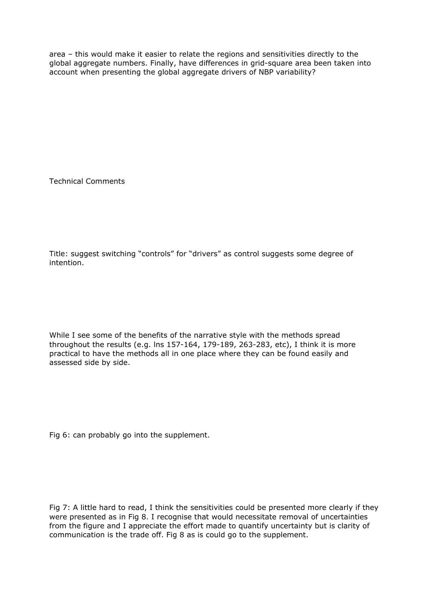area – this would make it easier to relate the regions and sensitivities directly to the global aggregate numbers. Finally, have differences in grid-square area been taken into account when presenting the global aggregate drivers of NBP variability?

Technical Comments

Title: suggest switching "controls" for "drivers" as control suggests some degree of intention.

While I see some of the benefits of the narrative style with the methods spread throughout the results (e.g. lns 157-164, 179-189, 263-283, etc), I think it is more practical to have the methods all in one place where they can be found easily and assessed side by side.

Fig 6: can probably go into the supplement.

Fig 7: A little hard to read, I think the sensitivities could be presented more clearly if they were presented as in Fig 8. I recognise that would necessitate removal of uncertainties from the figure and I appreciate the effort made to quantify uncertainty but is clarity of communication is the trade off. Fig 8 as is could go to the supplement.